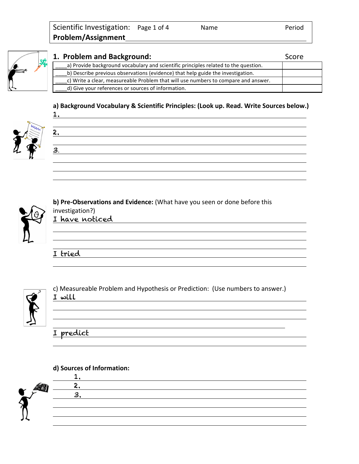

| 1. Problem and Background:                                                          | Score |
|-------------------------------------------------------------------------------------|-------|
| a) Provide background vocabulary and scientific principles related to the question. |       |
| b) Describe previous observations (evidence) that help guide the investigation.     |       |
| c) Write a clear, measureable Problem that will use numbers to compare and answer.  |       |
| d) Give your references or sources of information.                                  |       |

## **a) Background Vocabulary & Scientific Principles: (Look up. Read. Write Sources below.)**





1.



## **b) Pre-Observations and Evidence:** (What have you seen or done before this

investigation?) I have noticed

I tried



c) Measureable Problem and Hypothesis or Prediction: (Use numbers to answer.) I will

# I predict

#### **d) Sources of Information:**

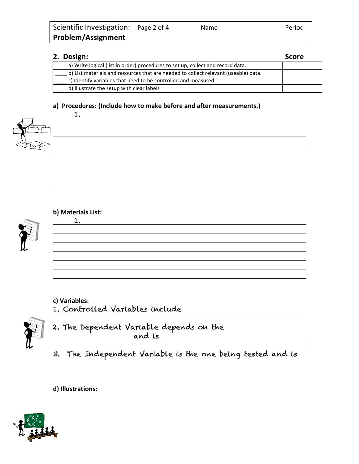| 2. Design:                                                                          | <b>Score</b> |
|-------------------------------------------------------------------------------------|--------------|
| a) Write logical (list in order) procedures to set up, collect and record data.     |              |
| b) List materials and resources that are needed to collect relevant (useable) data. |              |
| c) Identify variables that need to be controlled and measured.                      |              |
| d) Illustrate the setup with clear labels                                           |              |

1.

<u> 1989 - Johann Barn, amerikan besteman besteman besteman besteman besteman besteman besteman besteman bestema</u>

<u> 1980 - Johann Barn, fransk politik (f. 1980)</u>

<u> 1989 - Johann Stoff, deutscher Stoffen und der Stoffen und der Stoffen und der Stoffen und der Stoffen und de</u>

#### **a) Procedures: (Include how to make before and after measurements.)**



| b) Materials List: |  |
|--------------------|--|
|                    |  |



# **c) Variables:**

1. Controlled Variables include



2. The Dependent Variable depends on the and is

3. The Independent Variable is the one being tested and is

**d) Illustrations:**

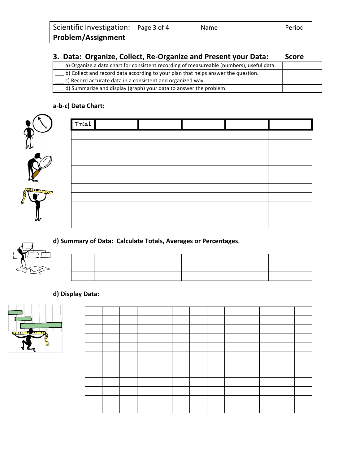## **3. Data: Organize, Collect, Re-Organize and Present your Data: Score**

| a) Organize a data chart for consistent recording of measureable (numbers), useful data. |  |
|------------------------------------------------------------------------------------------|--|
| b) Collect and record data according to your plan that helps answer the question.        |  |
| c) Record accurate data in a consistent and organized way.                               |  |
| d) Summarize and display (graph) your data to answer the problem.                        |  |

## **a-b-c) Data Chart:**



| Trial |  |  |  |
|-------|--|--|--|
|       |  |  |  |
|       |  |  |  |
|       |  |  |  |
|       |  |  |  |
|       |  |  |  |
|       |  |  |  |
|       |  |  |  |
|       |  |  |  |
|       |  |  |  |
|       |  |  |  |
|       |  |  |  |

## **d) Summary of Data: Calculate Totals, Averages or Percentages**.

## **d) Display Data:**